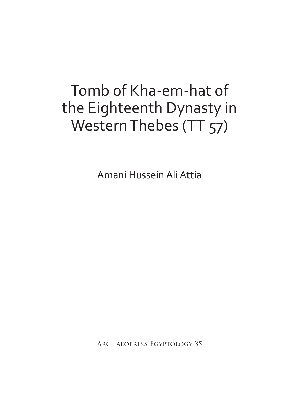# Tomb of Kha-em-hat of the Eighteenth Dynasty in Western Thebes (TT 57)

Amani Hussein Ali Attia

Archaeopress Egyptology 35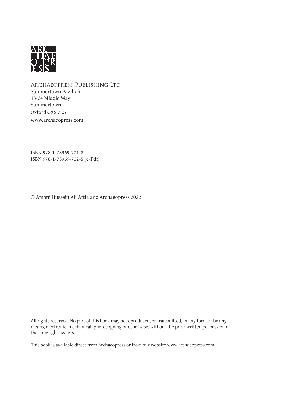

Archaeopress Publishing Ltd Summertown Pavilion 18-24 Middle Way Summertown Oxford OX2 7LG www.archaeopress.com

ISBN 978-1-78969-701-8 ISBN 978-1-78969-702-5 (e-Pdf)

© Amani Hussein Ali Attia and Archaeopress 2022

All rights reserved. No part of this book may be reproduced, or transmitted, in any form or by any means, electronic, mechanical, photocopying or otherwise, without the prior written permission of the copyright owners.

This book is available direct from Archaeopress or from our website www.archaeopress.com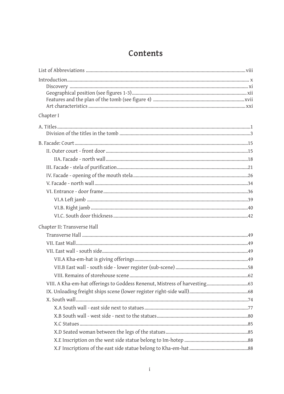### Contents

| Chapter I                   |
|-----------------------------|
|                             |
|                             |
|                             |
|                             |
|                             |
|                             |
|                             |
|                             |
|                             |
|                             |
|                             |
| Chapter II: Transverse Hall |
|                             |
|                             |
|                             |
|                             |
|                             |
|                             |
|                             |
|                             |
|                             |
|                             |
|                             |
|                             |
|                             |
|                             |
|                             |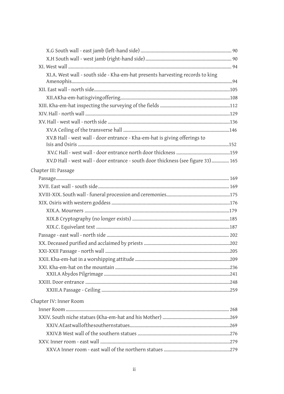| XI.A. West wall - south side - Kha-em-hat presents harvesting records to king    |  |
|----------------------------------------------------------------------------------|--|
|                                                                                  |  |
|                                                                                  |  |
|                                                                                  |  |
|                                                                                  |  |
|                                                                                  |  |
|                                                                                  |  |
|                                                                                  |  |
| XV.B Hall - west wall - door entrance - Kha-em-hat is giving offerings to        |  |
|                                                                                  |  |
|                                                                                  |  |
| XV.D Hall - west wall - door entrance - south door thickness (see figure 33) 165 |  |
| Chapter III: Passage                                                             |  |
|                                                                                  |  |
|                                                                                  |  |
|                                                                                  |  |
|                                                                                  |  |
|                                                                                  |  |
|                                                                                  |  |
|                                                                                  |  |
|                                                                                  |  |
|                                                                                  |  |
|                                                                                  |  |
|                                                                                  |  |
|                                                                                  |  |
|                                                                                  |  |
|                                                                                  |  |
|                                                                                  |  |
| Chapter IV: Inner Room                                                           |  |
|                                                                                  |  |
|                                                                                  |  |
|                                                                                  |  |
|                                                                                  |  |
|                                                                                  |  |
|                                                                                  |  |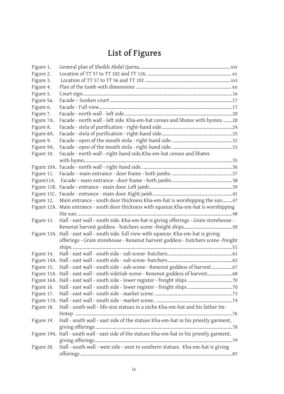# **List of Figures**

| Figure 1.  |                                                                                              |
|------------|----------------------------------------------------------------------------------------------|
| Figure 2.  |                                                                                              |
| Figure 3.  |                                                                                              |
| Figure 4.  |                                                                                              |
| Figure 5.  |                                                                                              |
| Figure 5a. |                                                                                              |
| Figure 6.  |                                                                                              |
| Figure 7.  |                                                                                              |
| Figure 7A. | Facade - north wall - left side. Kha-em-hat censes and libates with hymns20                  |
| Figure 8.  |                                                                                              |
| Figure 8A. |                                                                                              |
| Figure 9.  |                                                                                              |
| Figure 9A. |                                                                                              |
| Figure 10. | Facade - north wall - right-hand side.Kha-em-hat censes and libates                          |
|            |                                                                                              |
|            |                                                                                              |
| Figure 11. |                                                                                              |
| Figure11A. |                                                                                              |
|            |                                                                                              |
|            |                                                                                              |
| Figure 12. | Main entrance - south door thickness Kha-em-hat is worshipping the sun47                     |
|            | Figure 12A. Main entrance - south door thickness with squeeze Kha-em-hat is worshipping      |
|            |                                                                                              |
| Figure 13. | Hall - east wall - south side. Kha-em-hat is giving offerings - Grain storehouse -           |
|            |                                                                                              |
|            | Figure 13A. Hall - east wall - south side. full view with squeeze. Kha-em-hat is giving      |
|            | offerings - Grain storehouse - Renenut harvest goddess - butchers scene -freight             |
|            |                                                                                              |
| Figure 14. |                                                                                              |
|            |                                                                                              |
| Figure 15. | Hall - east wall - south side - sub-scene - Renenut goddess of harvest67                     |
|            | Figure 15A. Hall - east wall - south sideSub-scene - Renenut goddess of harvest 68           |
|            |                                                                                              |
| Figure 16. |                                                                                              |
| Figure 17. |                                                                                              |
|            |                                                                                              |
| Figure 18. | Hall - south wall - life-size statues in a niche Kha-em-hat and his father Im-               |
|            |                                                                                              |
| Figure 19. | Hall - south wall - east side of the statues Kha-em-hat in his priestly garment,             |
|            |                                                                                              |
|            | Figure 19A. Hall - south wall - east side of the statues Kha-em-hat in his priestly garment, |
|            |                                                                                              |
| Figure 20. | Hall - south wall - west side - next to southern statues. Kha-em-hat is giving               |
|            |                                                                                              |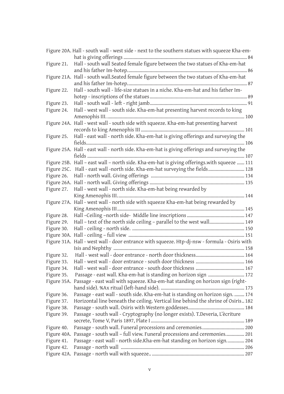|            | Figure 20A. Hall - south wall - west side - next to the southern statues with squeeze Kha-em- |
|------------|-----------------------------------------------------------------------------------------------|
|            |                                                                                               |
| Figure 21. | Hall - south wall Seated female figure between the two statues of Kha-em-hat                  |
|            |                                                                                               |
|            | Figure 21A. Hall - south wall. Seated female figure between the two statues of Kha-em-hat     |
|            |                                                                                               |
| Figure 22. | Hall - south wall - life-size statues in a niche. Kha-em-hat and his father Im-               |
| Figure 23. |                                                                                               |
| Figure 24. | Hall - west wall - south side. Kha-em-hat presenting harvest records to king                  |
|            |                                                                                               |
|            | Figure 24A. Hall - west wall - south side with squeeze. Kha-em-hat presenting harvest         |
|            |                                                                                               |
| Figure 25. | Hall - east wall - north side. Kha-em-hat is giving offerings and surveying the               |
|            |                                                                                               |
|            | Figure 25A. Hall - east wall - north side. Kha-em-hat is giving offerings and surveying the   |
|            |                                                                                               |
|            | Figure 25B. Hall - east wall - north side. Kha-em-hat is giving offerings.with squeeze  111   |
|            | Figure 25C. Hall - east wall -north side. Kha-em-hat surveying the fields 128                 |
| Figure 26. |                                                                                               |
|            |                                                                                               |
| Figure 27. | Hall - west wall - north side. Kha-em-hat being rewarded by                                   |
|            |                                                                                               |
|            | Figure 27A. Hall - west wall - north side with squeeze Kha-em-hat being rewarded by           |
|            |                                                                                               |
| Figure 28. |                                                                                               |
| Figure 29. | Hall - text of the north side ceiling - parallel to the west wall 149                         |
| Figure 30. |                                                                                               |
|            |                                                                                               |
|            | Figure 31A. Hall - west wall - door entrance with squeeze. Htp-dj-nsw - formula - Osiris with |
|            |                                                                                               |
| Figure 32. |                                                                                               |
| Figure 33. |                                                                                               |
| Figure 34. |                                                                                               |
| Figure 35. | Passage - east wall. Kha-em-hat is standing on horizon sign  172                              |
|            | Figure 35A. Passage - east wall with squeeze. Kha-em-hat standing on horizon sign (right-     |
| Figure 36. | Passage - east wall - south side. Kha-em-hat is standing on horizon sign.  174                |
| Figure 37. | Horizontal line beneath the ceiling. Vertical line behind the shrine of Osiris 182            |
| Figure 38. |                                                                                               |
| Figure 39. | Passage - south wall - Cryptography (no longer exists). T.Deveria, L'ècriture                 |
|            |                                                                                               |
| Figure 40. |                                                                                               |
|            | Figure 40A. Passage - south wall - full view. Funeral processions and ceremonies 201          |
| Figure 41. | Passage - east wall - north side.Kha-em-hat standing on horizon sign 204                      |
| Figure 42. |                                                                                               |
|            |                                                                                               |
|            |                                                                                               |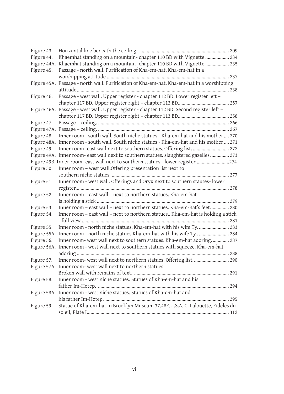| Figure 43. |                                                                                           |
|------------|-------------------------------------------------------------------------------------------|
| Figure 44. | Khaemhat standing on a mountain-chapter 110 BD with Vignette  234                         |
|            | Figure 44A. Khaemhat standing on a mountain-chapter 110 BD with Vignette.  235            |
| Figure 45. | Passage - north wall. Purification of Kha-em-hat. Kha-em-hat in a                         |
|            |                                                                                           |
|            | Figure 45A. Passage - north wall. Purification of Kha-em-hat. Kha-em-hat in a worshipping |
|            |                                                                                           |
| Figure 46. | Passage - west wall. Upper register - chapter 112 BD. Lower register left -               |
|            |                                                                                           |
|            | Figure 46A. Passage - west wall. Upper register - chapter 112 BD. Second register left -  |
|            |                                                                                           |
| Figure 47. |                                                                                           |
|            |                                                                                           |
| Figure 48. | Inner room - south wall. South niche statues - Kha-em-hat and his mother  270             |
|            | Figure 48A. Inner room - south wall. South niche statues - Kha-em-hat and his mother  271 |
| Figure 49. | Inner room- east wall next to southern statues. Offering list 272                         |
|            | Figure 49A. Inner room- east wall next to southern statues. slaughtered gazelles 273      |
|            | Figure 49B. Inner room- east wall next to southern statues - lower register 274           |
| Figure 50. | Inner room - west wall. Offering presentation list next to                                |
|            |                                                                                           |
| Figure 51. | Inner room - west wall. Offerings and Oryx next to southern stautes-lower                 |
|            |                                                                                           |
| Figure 52. | Inner room - east wall - next to northern statues. Kha-em-hat                             |
|            |                                                                                           |
| Figure 53. | Inner room - east wall - next to northern statues. Kha-em-hat's feet 280                  |
| Figure 54. | Inner room - east wall - next to northern statues Kha-em-hat is holding a stick           |
|            |                                                                                           |
| Figure 55. | Inner room - north niche statues. Kha-em-hat with his wife Ty.  283                       |
|            | Figure 55A. Inner room - north niche statues Kha-em-hat with his wife Ty  284             |
| Figure 56. | Inner room- west wall next to southern statues. Kha-em-hat adoring.  287                  |
|            | Figure 56A. Inner room - west wall next to southern statues with squeeze. Kha-em-hat      |
|            |                                                                                           |
| Figure 57. | Inner room- west wall next to northern statues. Offering list 290                         |
|            | Figure 57A. Inner room- west wall next to northern statues.                               |
|            |                                                                                           |
| Figure 58. | Inner room - west niche statues. Statues of Kha-em-hat and his                            |
|            |                                                                                           |
|            | Figure 58A. Inner room - west niche statues. Statues of Kha-em-hat and                    |
|            |                                                                                           |
| Figure 59. | Statue of Kha-em-hat in Brooklyn Museum 37.48E.U.S.A. C. Lalouette, Fideles du            |
|            |                                                                                           |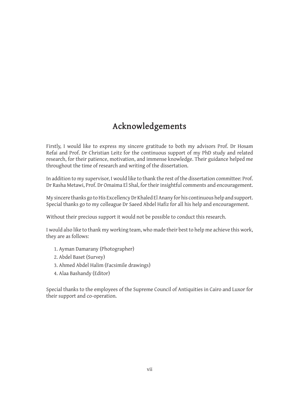## **Acknowledgements**

Firstly, I would like to express my sincere gratitude to both my advisors Prof. Dr Hosam Refai and Prof. Dr Christian Leitz for the continuous support of my PhD study and related research, for their patience, motivation, and immense knowledge. Their guidance helped me throughout the time of research and writing of the dissertation.

In addition to my supervisor, I would like to thank the rest of the dissertation committee: Prof. Dr Rasha Metawi, Prof. Dr Omaima El Shal, for their insightful comments and encouragement.

My sincere thanks go to His Excellency Dr Khaled El Anany for his continuous help and support. Special thanks go to my colleague Dr Saeed Abdel Hafiz for all his help and encouragement.

Without their precious support it would not be possible to conduct this research.

I would also like to thank my working team, who made their best to help me achieve this work, they are as follows:

- 1. Ayman Damarany (Photographer)
- 2. Abdel Baset (Survey)
- 3. Ahmed Abdel Halim (Facsimile drawings)
- 4. Alaa Bashandy (Editor)

Special thanks to the employees of the Supreme Council of Antiquities in Cairo and Luxor for their support and co-operation.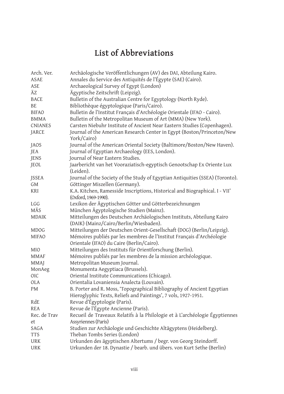# **List of Abbreviations**

| Arch. Ver.     | Archäologische Veröffentlichungen (AV) des DAI, Abteilung Kairo.                                                   |
|----------------|--------------------------------------------------------------------------------------------------------------------|
| ASAE           | Annales du Service des Antiquités de l'Égypte (SAE) (Cairo).                                                       |
| ASE            | Archaeological Survey of Egypt (London)                                                                            |
| ÄZ             | Ägyptische Zeitschrift (Leipzig).                                                                                  |
| <b>BACE</b>    | Bulletin of the Australian Centre for Egyptology (North Ryde).                                                     |
| BE             | Bibliothèque égyptologique (Paris/Cairo).                                                                          |
| <b>BIFAO</b>   | Bulletin de l'Institut Français d'Archéologie Orientale (IFAO - Cairo).                                            |
| <b>BMMA</b>    | Bulletin of the Metropolitan Museum of Art (MMA) (New York).                                                       |
| <b>CNIANES</b> | Carsten Niebuhr Institute of Ancient Near Eastern Studies (Copenhagen).                                            |
| JARCE          | Journal of the American Research Center in Egypt (Boston/Princeton/New<br>York/Cairo)                              |
| <b>JAOS</b>    | Journal of the American Oriental Society (Baltimore/Boston/New Haven).                                             |
| JEA            | Journal of Egyptian Archaeology (EES, London).                                                                     |
| JENS           | Journal of Near Eastern Studies.                                                                                   |
| JEOL           | Jaarbericht van het Vooraziatisch-egyptisch Genootschap Ex Oriente Lux<br>(Leiden).                                |
| <b>JSSEA</b>   | Journal of the Society of the Study of Egyptian Antiquities (SSEA) (Toronto).                                      |
| GM             | Göttinger Miszellen (Germany).                                                                                     |
| <b>KRI</b>     | K.A. Kitchen, Ramesside Inscriptions, Historical and Biographical. I - VII'<br>(Oxford, 1969-1990).                |
| <b>LGG</b>     | Lexikon der Ägyptischen Götter und Götterbezeichnungen                                                             |
| MÄS            | München Ägyptologische Studien (Mainz).                                                                            |
| <b>MDAIK</b>   | Mitteilungen des Deutschen Archäologischen Instituts, Abteilung Kairo                                              |
|                | (DAIK) (Mainz/Cairo/Berlin/Wiesbaden).                                                                             |
| <b>MDOG</b>    | Mitteilungen der Deutschen Orient-Gesellschaft (DOG) (Berlin/Leipzig).                                             |
| <b>MIFAO</b>   | Mémoires publiés par les membres de l'Institut Français d'Archéologie<br>Orientale (IFAO) du Caire (Berlin/Cairo). |
| <b>MIO</b>     | Mitteilungen des Instituts für Orientforschung (Berlin).                                                           |
| MMAF           | Mémoires publiés par les membres de la mission archéologique.                                                      |
| MMAJ           | Metropolitan Museum Journal.                                                                                       |
| MonAeg         | Monumenta Aegyptiaca (Brussels).                                                                                   |
| <b>OIC</b>     | Oriental Institute Communications (Chicago).                                                                       |
| <b>OLA</b>     | Orientalia Lovaniensia Analecta (Louvain).                                                                         |
| <b>PM</b>      | B. Porter and R. Moss, 'Topographical Bibliography of Ancient Egyptian                                             |
|                | Hieroglyphic Texts, Reliefs and Paintings', 7 vols, 1927-1951.                                                     |
| RdE            | Revue d'Égyptologie (Paris).                                                                                       |
| <b>REA</b>     | Revue de l'Égypte Ancienne (Paris).                                                                                |
| Rec. de Trav   | Recueil de Traveaux Relatifs à la Philologie et à L'archéologie Égyptiennes                                        |
| et             | Assyriennes (Paris)                                                                                                |
| SAGA           | Studien zur Archäologie und Geschichte Altägyptens (Heidelberg).                                                   |
| <b>TTS</b>     | Theban Tombs Series (London)                                                                                       |
| <b>URK</b>     | Urkunden des ägyptischen Altertums / begr. von Georg Steindorff.                                                   |
| <b>URK</b>     | Urkunden der 18. Dynastie / bearb. und übers. von Kurt Sethe (Berlin)                                              |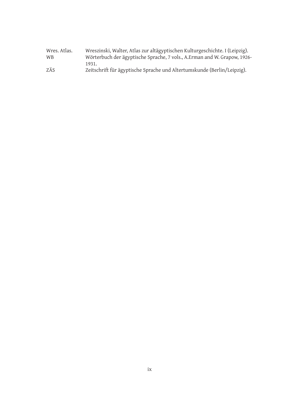| Wres. Atlas. | Wreszinski, Walter, Atlas zur altägyptischen Kulturgeschichte. I (Leipzig). |
|--------------|-----------------------------------------------------------------------------|
| <b>WB</b>    | Wörterbuch der ägyptische Sprache, 7 vols., A.Erman and W. Grapow, 1926-    |
|              | 1931.                                                                       |
| ZÄS          | Zeitschrift für ägyptische Sprache und Altertumskunde (Berlin/Leipzig).     |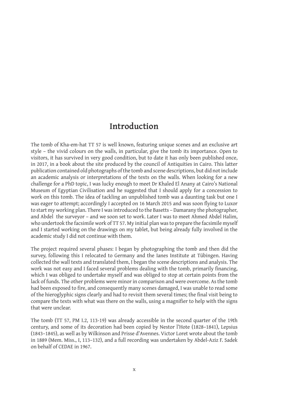### **Introduction**

The tomb of Kha-em-hat TT 57 is well known, featuring unique scenes and an exclusive art style – the vivid colours on the walls, in particular, give the tomb its importance. Open to visitors, it has survived in very good condition, but to date it has only been published once, in 2017, in a book about the site produced by the council of Antiquities in Cairo. This latter publication contained old photographs of the tomb and scene descriptions, but did not include an academic analysis or interpretations of the texts on the walls. When looking for a new challenge for a PhD topic, I was lucky enough to meet Dr Khaled El Anany at Cairo's National Museum of Egyptian Civilisation and he suggested that I should apply for a concession to work on this tomb. The idea of tackling an unpublished tomb was a daunting task but one I was eager to attempt; accordingly I accepted on 16 March 2015 and was soon flying to Luxor to start my working plan. There I was introduced to the Basetts – Damarany the photographer, and Abdel the surveyor – and we soon set to work. Later I was to meet Ahmed Abdel Halim, who undertook the facsimile work of TT 57. My initial plan was to prepare the facsimile myself and I started working on the drawings on my tablet, but being already fully involved in the academic study I did not continue with them.

The project required several phases: I began by photographing the tomb and then did the survey, following this I relocated to Germany and the Ianes Institute at Tübingen. Having collected the wall texts and translated them, I began the scene descriptions and analysis. The work was not easy and I faced several problems dealing with the tomb, primarily financing, which I was obliged to undertake myself and was obliged to stop at certain points from the lack of funds. The other problems were minor in comparison and were overcome. As the tomb had been exposed to fire, and consequently many scenes damaged, I was unable to read some of the hieroglyphic signs clearly and had to revisit them several times; the final visit being to compare the texts with what was there on the walls, using a magnifier to help with the signs that were unclear.

The tomb (TT 57, PM I.2, 113-19) was already accessible in the second quarter of the 19th century, and some of its decoration had been copied by Nestor l'Hote (1828–1841), Lepsius (1843–1845), as well as by Wilkinson and Prisse d'Avennes. Victor Loret wrote about the tomb in 1889 (Mem. Miss., I, 113–132), and a full recording was undertaken by Abdel-Aziz F. Sadek on behalf of CEDAE in 1967.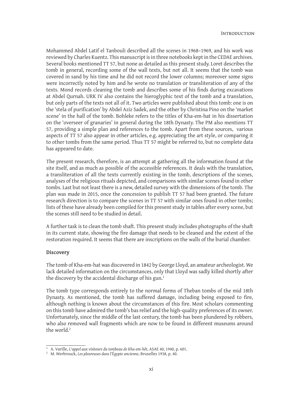Mohammed Abdel Latif el Tanbouli described all the scenes in 1968–1969, and his work was reviewed by Charles Kuentz. This manuscript is in three notebooks kept in the CEDAE archives. Several books mentioned TT 57, but none as detailed as this present study. Loret describes the tomb in general, recording some of the wall texts, but not all. It seems that the tomb was covered in sand by his time and he did not record the lower columns; moreover some signs were incorrectly noted by him and he wrote no translation or transliteration of any of the texts. Mond records cleaning the tomb and describes some of his finds during excavations at Abdel Qurnah. URK IV also contains the hieroglyphic text of the tomb and a translation, but only parts of the texts not all of it. Two articles were published about this tomb: one is on the 'stela of purification' by Abdel Aziz Sadek, and the other by Christina Pino on the 'market scene' in the hall of the tomb. Bohleke refers to the titles of Kha-em-hat in his dissertation on the 'overseer of granaries' in general during the 18th Dynasty. The PM also mentions TT 57, providing a simple plan and references to the tomb. Apart from these sources, various aspects of TT 57 also appear in other articles, e.g. appreciating the art style, or comparing it to other tombs from the same period. Thus TT 57 might be referred to, but no complete data has appeared to date.

The present research, therefore, is an attempt at gathering all the information found at the site itself, and as much as possible of the accessible references. It deals with the translation, a transliteration of all the texts currently existing in the tomb, descriptions of the scenes, analyses of the religious rituals depicted, and comparisons with similar scenes found in other tombs. Last but not least there is a new, detailed survey with the dimensions of the tomb. The plan was made in 2015, once the concession to publish TT 57 had been granted. The future research direction is to compare the scenes in TT 57 with similar ones found in other tombs; lists of these have already been compiled for this present study in tables after every scene, but the scenes still need to be studied in detail.

A further task is to clean the tomb shaft. This present study includes photographs of the shaft in its current state, showing the fire damage that needs to be cleaned and the extent of the restoration required. It seems that there are inscriptions on the walls of the burial chamber.

#### **Discovery**

The tomb of Kha-em-hat was discovered in 1842 by George Lloyd, an amateur archeologist. We lack detailed information on the circumstances, only that Lloyd was sadly killed shortly after the discovery by the accidental discharge of his gun.<sup>1</sup>

The tomb type corresponds entirely to the normal forms of Theban tombs of the mid 18th Dynasty. As mentioned, the tomb has suffered damage, including being exposed to fire, although nothing is known about the circumstances of this fire. Most scholars commenting on this tomb have admired the tomb's bas relief and the high-quality preferences of its owner. Unfortunately, since the middle of the last century, the tomb has been plundered by robbers, who also removed wall fragments which are now to be found in different museums around the world.<sup>2</sup>

<sup>1</sup> A. Varille, *Lʾappel aux visiteurs du tombeau de Kha-em-hêt*, ASAE 40, 1940, p. 601.

<sup>2</sup> M. Werbrouck, *Les pleureuses dans l'Égypte ancienne*, Bruxelles 1938, p. 40.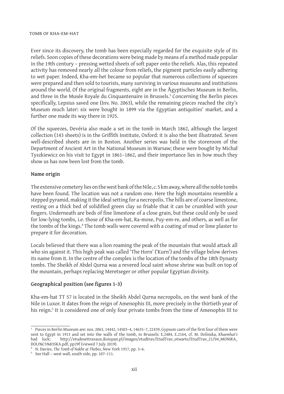#### tomb of kha-em-hat

Ever since its discovery, the tomb has been especially regarded for the exquisite style of its reliefs. Soon copies of these decorations were being made by means of a method made popular in the 19th century – pressing wetted sheets of soft paper onto the reliefs. Alas, this repeated activity has removed nearly all the colour from reliefs, the pigment particles easily adhering to wet paper. Indeed, Kha-em-het became so popular that numerous collections of squeezes were prepared and then sold to tourists, many surviving in various museums and institutions around the world. Of the original fragments, eight are in the Ägyptisches Museum in Berlin, and three in the Musée Royale du Cinquantenaire in Brussels.<sup>3</sup> Concerning the Berlin pieces specifically, Lepsius saved one (Inv. No. 2063), while the remaining pieces reached the city's Museum much later: six were bought in 1899 via the Egyptian antiquities' market, and a further one made its way there in 1925.

Of the squeezes, Devéria also made a set in the tomb in March 1862, although the largest collection (143 sheets) is in the Griffith Institute, Oxford: it is also the best illustrated. Seven well-described sheets are in in Boston. Another series was held in the storeroom of the Department of Ancient Art in the National Museum in Warsaw; these were bought by Michał Tyszkiewicz on his visit to Egypt in 1861–1862, and their importance lies in how much they show us has now been lost from the tomb.

#### **Name origin**

The extensive cemetery lies on the west bank of the Nile, *c.* 5 km away, where all the noble tombs have been found. The location was not a random one. Here the high mountains resemble a stepped pyramid, making it the ideal setting for a necropolis. The hills are of coarse limestone, resting on a thick bed of solidified green clay so friable that it can be crumbled with your fingers. Underneath are beds of fine limestone of a close grain, but these could only be used for low-lying tombs, i.e. those of Kha-em-hat, Ra-mose, Puy-em-re, and others, as well as for the tombs of the kings.<sup>4</sup> The tomb walls were covered with a coating of mud or lime plaster to prepare it for decoration.

Locals believed that there was a lion roaming the peak of the mountain that would attack all who sin against it. This high peak was called 'The Horn' ('Kurn') and the village below derives its name from it. In the centre of the complex is the location of the tombs of the 18th Dynasty tombs. The Sheikh of Abdel Qurna was a revered local saint whose shrine was built on top of the mountain, perhaps replacing Meretseger or other popular Egyptian divinity.

#### **Geographical position (see figures 1-3)**

Kha-em-hat TT 57 is located in the Sheikh Abdel Qurna necropolis, on the west bank of the Nile in Luxor. It dates from the reign of Amenophis III, more precisely in the thirtieth year of his reign.<sup>5</sup> It is considered one of only four private tombs from the time of Amenophis III to

<sup>3</sup> Pieces in Berlin Museum are: nos. 2063, 14442, 14503–4, 14635–7, 22439, Gypsum casts of the first four of them were sent to Egypt in 1913 and set into the walls of the tomb, in Brussels: E.2484, E.2164, cf. M. Dolinska, *Khaemhat's*  http://etudesettravaux.iksiopan.pl/images/etudtrav/EtudTrav\_otwarte/EtudTrav\_21/04\_MONIKA\_ DOLI%C5%83SKA.pdf, pp29f (viewed 7 July 2019).

<sup>4</sup> N. Davies, *The Tomb of Nakht at Thebes*, New York 1917, pp. 3–6.

<sup>5</sup> See Hall – west wall, south side, pp. 107–111.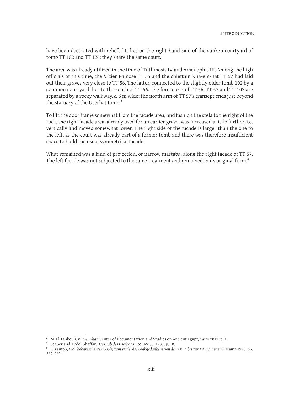have been decorated with reliefs.<sup>6</sup> It lies on the right-hand side of the sunken courtyard of tomb TT 102 and TT 126; they share the same court.

The area was already utilized in the time of Tuthmosis IV and Amenophis III. Among the high officials of this time, the Vizier Ramose TT 55 and the chieftain Kha-em-hat TT 57 had laid out their graves very close to TT 56. The latter, connected to the slightly older tomb 102 by a common courtyard, lies to the south of TT 56. The forecourts of TT 56, TT 57 and TT 102 are separated by a rocky walkway, *c.* 6 m wide; the north arm of TT 57's transept ends just beyond the statuary of the Userhat tomb.<sup>7</sup>

To lift the door frame somewhat from the facade area, and fashion the stela to the right of the rock, the right facade area, already used for an earlier grave, was increased a little further, i.e. vertically and moved somewhat lower. The right side of the facade is larger than the one to the left, as the court was already part of a former tomb and there was therefore insufficient space to build the usual symmetrical facade.

What remained was a kind of projection, or narrow mastaba, along the right facade of TT 57. The left facade was not subjected to the same treatment and remained in its original form.<sup>8</sup>

<sup>6</sup> M. El Tanbouli, *Kha-em-hat*, Center of Documentation and Studies on Ancient Egypt, Cairo 2017, p. 1.

<sup>7</sup> Seeber and Abdel Ghaffar, *Das Grab des Userhat TT 56*, AV 50, 1987, p. 10.

<sup>8</sup> F. Kampp, *Die Thebanische Nekropole, zum wadel des Grabgedankens von der XVIII. bis zur XX Dynastie*, 2, Mainz 1996, pp. 267–269.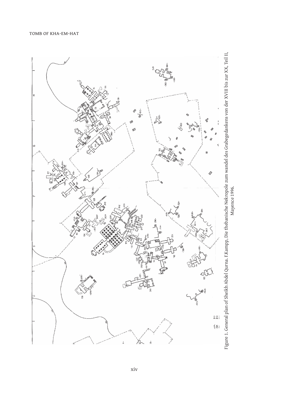

Figure 1. General plan of Sheikh Abdel Qurna. F.Kampp, Die thebanische Nekropole zum wandel des Grabegedankens von der XVIII bis zur XX, Teil II, Figure 1. General plan of Sheikh Abdel Qurna. F.Kampp, Die thebanische Nekropole zum wandel des Grabegedankens von der XVIII bis zur XX, Teil II, Mayence 1996. Mayence 1996.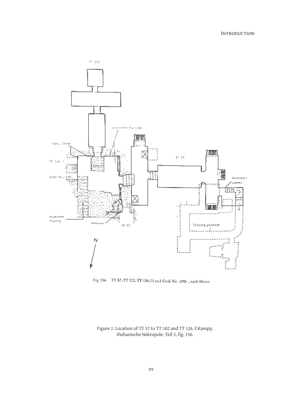

Fig. 156 – TT 57, TT 122, TT 126 (?) und Grab $\mathrm{Nr}$  -295- , nach Moso

Figure 2. Location of TT 57 to TT 102 and TT 126. F.Kampp,<br>thebanische Nekropole, Teil 2, fig. 156.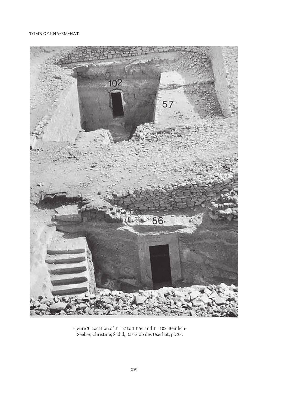#### TOMB OF KHA-EM-HAT



Figure 3. Location of TT 57 to TT 56 and TT 102. Beinlich-Seeber, Christine; Šadīd, Das Grab des Userhat, pl. 33.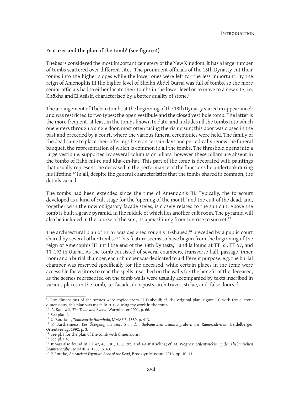#### **Features and the plan of the tomb<sup>9</sup> (see figure 4)**

Thebes is considered the most important cemetery of the New Kingdom; it has a large number of tombs scattered over different sites. The prominent officials of the 18th Dynasty cut their tombs into the higher slopes while the lower ones were left for the less important. By the reign of Amenophis III the higher level of Sheikh Abdel Qurna was full of tombs, so the more senior officials had to either locate their tombs in the lower level or to move to a new site, i.e. Kh**ô**kha and El As**â**sif, characterised by a better quality of stone.<sup>10</sup>

The arrangement of Theban tombs at the beginning of the 18th Dynasty varied in appearance<sup>11</sup> and was restricted to two types: the open vestibule and the closed vestibule tomb. The latter is the more frequent, at least in the tombs known to date, and includes all the tombs into which one enters through a single door, most often facing the rising sun; this door was closed in the past and preceded by a court, where the various funeral ceremonies were held. The family of the dead came to place their offerings here on certain days and periodically renew the funeral banquet, the representation of which is common in all the tombs. The threshold opens into a large vestibule, supported by several columns or pillars, however these pillars are absent in the tombs of Rakh-mi-re and Kha-em-hat. This part of the tomb is decorated with paintings that usually represent the deceased in the performance of the functions he undertook during his lifetime.<sup>12</sup> In all, despite the general characteristics that the tombs shared in common, the details varied.

The tombs had been extended since the time of Amenophis III. Typically, the forecourt developed as a kind of cult stage for the 'opening of the mouth' and the cult of the dead, and, together with the now obligatory facade steles, is closely related to the sun cult. Above the tomb is built a grave pyramid, in the middle of which lies another cult room. The pyramid will also be included in the course of the sun, its apex shining from sun rise to sun set.<sup>13</sup>

The architectural plan of TT 57 was designed roughly T-shaped,<sup>14</sup> preceded by a public court shared by several other tombs.<sup>15</sup> This feature seems to have begun from the beginning of the reign of Amenophis III until the end of the 18th Dynasty,<sup>16</sup> and is found at TT 55, TT 57, and TT 192 in Qurna. As the tomb consisted of several chambers, transverse hall, passage, inner room and a burial chamber, each chamber was dedicated to a different purpose, e.g. the burial chamber was reserved specifically for the deceased, while certain places in the tomb were accessible for visitors to read the spells inscribed on the walls for the benefit of the deceased, as the scenes represented on the tomb walls were usually accompanied by texts inscribed in various places in the tomb, i.e. facade, doorposts, architraves, stelae, and false doors.<sup>17</sup>

<sup>9</sup> The dimensions of the scenes were copied from El Tanbouli; cf. the original plan, figure I C with the current dimensions, this plan was made in 2015 during my work in the tomb.

<sup>10</sup> A. Kanawti, *The Tomb and Byond*, Warminster 2001, p. 66.

 $^{11}$  See plan I.

<sup>12</sup> U. Bouriant, *Tombeau de Harmhabi*, MMAF 5, 1889, p. 413.

<sup>13</sup> P. Barthelmess, *Der Übergang ins Jenseits in den thebanischen Beamtengräbern der Ramessidenzeit*, Heidelberger Orientverlag, 1992, p. 3.

<sup>&</sup>lt;sup>14</sup> See pl. I for the plan of the tomb with dimensions.

 $15$  See pl. I.A.

<sup>16</sup> It was also found in TT 47, 48, 181, 188, 192, and 49 at Khôkha; cf. M. Wegner, *Stilentwickelung der Thebanischen Beamtengräber*, MDAIK 4, 1933, p. 40.

<sup>17</sup> P. Rourke, *An Ancient Egyptian Book of the Dead*, Brooklyn Museum 2016, pp. 40–41.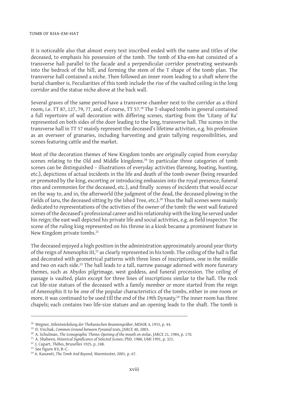#### tomb of kha-em-hat

It is noticeable also that almost every text inscribed ended with the name and titles of the deceased, to emphasis his possession of the tomb. The tomb of Kha-em-hat consisted of a transverse hall parallel to the facade and a perpendicular corridor penetrating westwards into the bedrock of the hill, and forming the stem of the T shape of the tomb plan. The transverse hall contained a niche. Then followed an inner room leading to a shaft where the burial chamber is. Peculiarities of this tomb include the rise of the vaulted ceiling in the long corridor and the statue niche above at the back wall.

Several graves of the same period have a transverse chamber next to the corridor as a third room, i.e. TT 87, 127, 79, 77, and, of course, TT 57.<sup>18</sup> The T-shaped tombs in general contained a full repertoire of wall decoration with differing scenes, starting from the 'Litany of Ra' represented on both sides of the door leading to the long, transverse hall. The scenes in the transverse hall in TT 57 mainly represent the deceased's lifetime activities, e.g. his profession as an overseer of granaries, including harvesting and grain tallying responsibilities, and scenes featuring cattle and the market.

Most of the decoration themes of New Kingdom tombs are originally copied from everyday scenes relating to the Old and Middle kingdoms.<sup>19</sup> In particular three categories of tomb scenes can be distinguished – illustrations of everyday activities (farming, boating, hunting, etc.), depictions of actual incidents in the life and death of the tomb owner (being rewarded or promoted by the king, escorting or introducing embassies into the royal presence, funeral rites and ceremonies for the deceased, etc.), and finally scenes of incidents that would occur on the way to, and in, the afterworld (the judgment of the dead, the deceased plowing in the Fields of Iaru, the deceased sitting by the Ished Tree, etc.).<sup>20</sup> Thus the hall scenes were mainly dedicated to representations of the activities of the owner of the tomb: the west wall featured scenes of the deceased's professional career and his relationship with the king he served under his reign; the east wall depicted his private life and social activities, e.g. as field inspector. The scene of the ruling king represented on his throne in a kiosk became a prominent feature in New Kingdom private tombs.<sup>21</sup>

The deceased enjoyed a high position in the administration approximately around year thirty of the reign of Amenophis III,<sup>22</sup> as clearly represented in his tomb. The ceiling of the hall is flat and decorated with geometrical patterns with three lines of inscriptions, one in the middle and two on each side.<sup>23</sup> The hall leads to a tall, narrow passage adorned with more funerary themes, such as Abydos pilgrimage, west goddess, and funeral procession. The ceiling of passage is vaulted, plain except for three lines of inscriptions similar to the hall. The rock cut life-size statues of the deceased with a family member or more started from the reign of Amenophis II to be one of the popular characteristics of the tombs, either in one room or more, it was continued to be used till the end of the 19th Dynasty.<sup>24</sup> The inner room has three chapels; each contains two life-size statues and an opening leads to the shaft. The tomb is

<sup>18</sup> Wegner, *Stilentwickelung der Thebanischen Beamtengräber*, MDAIK 4*,* 1933, p. 44.

<sup>19</sup> D. Vischak, *Common Ground between Pyramid texts*, JARCE 40, 2003.

<sup>20</sup> A. Schulman, *The Iconographic Theme: Opening of the mouth on stelae*, JARCE 21, 1984, p. 170.

<sup>&</sup>lt;sup>21</sup> A. Shaheen, *Historical Significance of Selected Scenes*, *PhD. 1988*, UMI 1991, p. 321.

<sup>22</sup> J. Capart, *Thèbes*, Bruxelles 1925, p. 248.

<sup>23</sup> See figure XV, B–C.

<sup>24</sup> A. Kanawti, *The Tomb And Beyond*, Warminster, 2001, p. 67.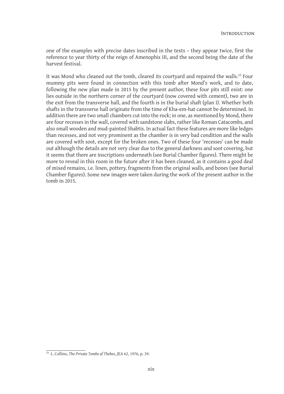one of the examples with precise dates inscribed in the texts – they appear twice, first the reference to year thirty of the reign of Amenophis III, and the second being the date of the harvest festival.

It was Mond who cleaned out the tomb, cleared its courtyard and repaired the walls.<sup>25</sup> Four mummy pits were found in connection with this tomb after Mond's work, and to date, following the new plan made in 2015 by the present author, these four pits still exist: one lies outside in the northern corner of the courtyard (now covered with cement), two are in the exit from the transverse hall, and the fourth is in the burial shaft (plan I). Whether both shafts in the transverse hall originate from the time of Kha-em-hat cannot be determined. In addition there are two small chambers cut into the rock; in one, as mentioned by Mond, there are four recesses in the wall, covered with sandstone slabs, rather like Roman Catacombs, and also small wooden and mud-painted Shabtis. In actual fact these features are more like ledges than recesses, and not very prominent as the chamber is in very bad condition and the walls are covered with soot, except for the broken ones. Two of these four 'recesses' can be made out although the details are not very clear due to the general darkness and soot covering, but it seems that there are inscriptions underneath (see Burial Chamber figures). There might be more to reveal in this room in the future after it has been cleaned, as it contains a good deal of mixed remains, i.e. linen, pottery, fragments from the original walls, and bones (see Burial Chamber figures). Some new images were taken during the work of the present author in the tomb in 2015.

<sup>25</sup> L. Collins, *The Private Tombs of Thebes*, JEA 62, 1976, p. 39.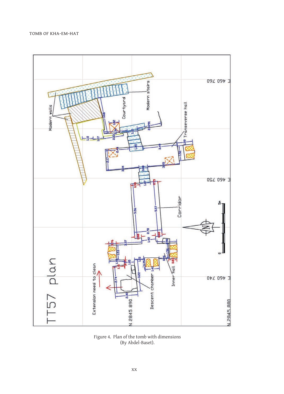

Figure 4. Plan of the tomb with dimensions (By Abdel-Baset).